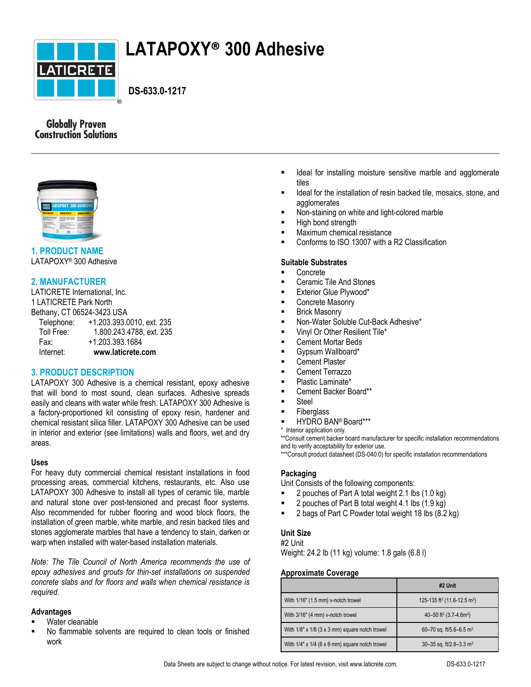

# **LATAPOXY® 300 Adhesive**

 **DS-633.0-1217**

# **Globally Proven Construction Solutions**



# **1. PRODUCT NAME**

LATAPOXY® 300 Adhesive

# **2. MANUFACTURER**

LATICRETE International, Inc. 1 LATICRETE Park North Bethany, CT 06524-3423 USA Telephone: +1.203.393.0010, ext. 235 Toll Free: 1.800.243.4788, ext. 235 Fax: +1.203.393.1684 Internet: **www.laticrete.com**

# **3. PRODUCT DESCRIPTION**

LATAPOXY 300 Adhesive is a chemical resistant, epoxy adhesive that will bond to most sound, clean surfaces. Adhesive spreads easily and cleans with water while fresh. LATAPOXY 300 Adhesive is a factory-proportioned kit consisting of epoxy resin, hardener and chemical resistant silica filler. LATAPOXY 300 Adhesive can be used in interior and exterior (see limitations) walls and floors, wet and dry areas.

#### **Uses**

For heavy duty commercial chemical resistant installations in food processing areas, commercial kitchens, restaurants, etc. Also use LATAPOXY 300 Adhesive to install all types of ceramic tile, marble and natural stone over post-tensioned and precast floor systems. Also recommended for rubber flooring and wood block floors, the installation of green marble, white marble, and resin backed tiles and stones agglomerate marbles that have a tendency to stain, darken or warp when installed with water-based installation materials.

*Note: The Tile Council of North America recommends the use of epoxy adhesives and grouts for thin-set installations on suspended concrete slabs and for floors and walls when chemical resistance is required.*

#### **Advantages**

- Water cleanable
- No flammable solvents are required to clean tools or finished work
- **IDEAL 19** Ideal for installing moisture sensitive marble and agglomerate tiles
- Ideal for the installation of resin backed tile, mosaics, stone, and agglomerates
- Non-staining on white and light-colored marble
- High bond strength
- Maximum chemical resistance
- Conforms to ISO 13007 with a R2 Classification

#### **Suitable Substrates**

- Concrete
- Ceramic Tile And Stones
- Exterior Glue Plywood\*
- Concrete Masonry
- Brick Masonry
- Non-Water Soluble Cut-Back Adhesive\*
- Vinyl Or Other Resilient Tile\*
- Cement Mortar Beds
- Gypsum Wallboard\*
- Cement Plaster
- Cement Terrazzo
- Plastic Laminate\*
- Cement Backer Board\*\*
- Steel
- Fiberglass
- HYDRO BAN® Board\*\*\*
- \* Interior application only.

\*\*Consult cement backer board manufacturer for specific installation recommendations and to verify acceptability for exterior use.

\*\*\*Consult product datasheet (DS-040.0) for specific installation recommendations

#### **Packaging**

Unit Consists of the following components:

- $\blacksquare$  2 pouches of Part A total weight 2.1 lbs (1.0 kg)
- 2 pouches of Part B total weight 4.1 lbs (1.9 kg)
- 2 bags of Part C Powder total weight 18 lbs (8.2 kg)

#### **Unit Size**

#2 Unit

Weight: 24.2 lb (11 kg) volume: 1.8 gals (6.8 l)

#### **Approximate Coverage**

|                                                     | #2 Unit                                             |
|-----------------------------------------------------|-----------------------------------------------------|
| With 1/16" (1.5 mm) v-notch trowel                  | 125-135 ft <sup>2</sup> (11.6-12.5 m <sup>2</sup> ) |
| With 3/16" (4 mm) v-notch trowel                    | 40-50 ft <sup>2</sup> (3.7-4.6m <sup>2</sup> )      |
| With $1/8$ " x $1/8$ (3 x 3 mm) square notch trowel | 60-70 sq. ft/5.6-6.5 m <sup>2</sup>                 |
| With $1/4$ " x $1/4$ (6 x 6 mm) square notch trowel | 30-35 sq. ft/2.8-3.3 m <sup>2</sup>                 |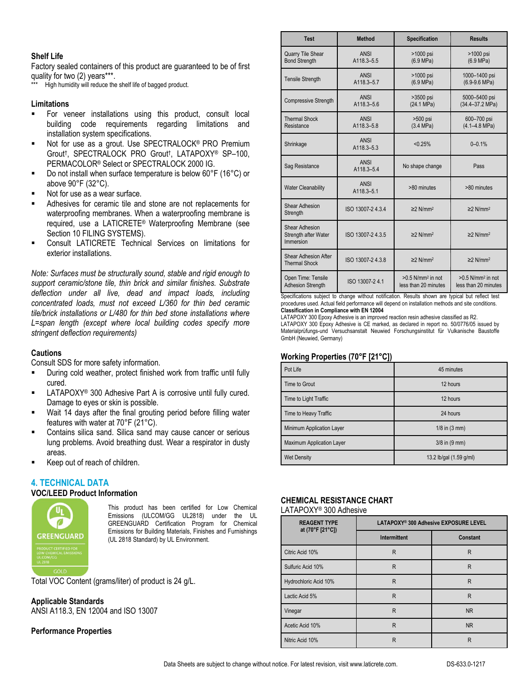#### **Shelf Life**

Factory sealed containers of this product are guaranteed to be of first quality for two (2) years\*\*\*.

High humidity will reduce the shelf life of bagged product.

#### **Limitations**

- For veneer installations using this product, consult local building code requirements regarding limitations and installation system specifications.
- Not for use as a grout. Use SPECTRALOCK® PRO Premium Grout† , SPECTRALOCK PRO Grout† , LATAPOXY® SP–100, PERMACOLOR® Select or SPECTRALOCK 2000 IG.
- Do not install when surface temperature is below 60°F (16°C) or above 90°F (32°C).
- Not for use as a wear surface.
- Adhesives for ceramic tile and stone are not replacements for waterproofing membranes. When a waterproofing membrane is required, use a LATICRETE® Waterproofing Membrane (see Section 10 FILING SYSTEMS).
- Consult LATICRETE Technical Services on limitations for exterior installations.

*Note: Surfaces must be structurally sound, stable and rigid enough to support ceramic/stone tile, thin brick and similar finishes. Substrate deflection under all live, dead and impact loads, including concentrated loads, must not exceed L/360 for thin bed ceramic tile/brick installations or L/480 for thin bed stone installations where*  L=span length (except where local building codes specify more *stringent deflection requirements)*

#### **Cautions**

Consult SDS for more safety information.

- During cold weather, protect finished work from traffic until fully cured.
- LATAPOXY® 300 Adhesive Part A is corrosive until fully cured. Damage to eyes or skin is possible.
- Wait 14 days after the final grouting period before filling water features with water at 70°F (21°C).
- Contains silica sand. Silica sand may cause cancer or serious lung problems. Avoid breathing dust. Wear a respirator in dusty areas.
- Keep out of reach of children.

#### **4. TECHNICAL DATA**

#### **VOC/LEED Product Information**



This product has been certified for Low Chemical Emissions (ULCOM/GG UL2818) under the UL GREENGUARD Certification Program for Chemical Emissions for Building Materials, Finishes and Furnishings (UL 2818 Standard) by UL Environment.

Total VOC Content (grams/liter) of product is 24 g/L.

**Applicable Standards** ANSI A118.3, EN 12004 and ISO 13007

#### **Performance Properties**

| <b>Test</b>                                         | Method                    | <b>Specification</b>                                    | <b>Results</b>                                          |
|-----------------------------------------------------|---------------------------|---------------------------------------------------------|---------------------------------------------------------|
| <b>Quarry Tile Shear</b><br><b>Bond Strength</b>    | ANSI<br>A118.3-5.5        | >1000 psi<br>(6.9 MPa)                                  | >1000 psi<br>(6.9 MPa)                                  |
| <b>Tensile Strength</b>                             | <b>ANSI</b><br>A118.3-5.7 | >1000 psi<br>(6.9 MPa)                                  | 1000-1400 psi<br>$(6.9-9.6 MPa)$                        |
| <b>Compressive Strength</b>                         | <b>ANSI</b><br>A118.3-5.6 | >3500 psi<br>(24.1 MPa)                                 | 5000-5400 psi<br>(34.4-37.2 MPa)                        |
| <b>Thermal Shock</b><br>Resistance                  | <b>ANSI</b><br>A118.3-5.8 | >500 psi<br>(3.4 MPa)                                   | 600-700 psi<br>$(4.1 - 4.8 \text{ MPa})$                |
| Shrinkage                                           | <b>ANSI</b><br>A118.3-5.3 | < 0.25%                                                 | $0 - 0.1%$                                              |
| Sag Resistance                                      | <b>ANSI</b><br>A118.3-5.4 | No shape change                                         | Pass                                                    |
| <b>Water Cleanability</b>                           | <b>ANSI</b><br>A118.3-5.1 | >80 minutes                                             | >80 minutes                                             |
| <b>Shear Adhesion</b><br>Strength                   | ISO 13007-24.3.4          | $\geq$ 2 N/mm <sup>2</sup>                              | $\geq$ 2 N/mm <sup>2</sup>                              |
| Shear Adhesion<br>Strength after Water<br>Immersion | ISO 13007-24.3.5          | $\geq$ 2 N/mm <sup>2</sup>                              | $\geq$ N/mm <sup>2</sup>                                |
| Shear Adhesion After<br><b>Thermal Shock</b>        | ISO 13007-24.3.8          | $\geq$ 2 N/mm <sup>2</sup>                              | $\geq$ 2 N/mm <sup>2</sup>                              |
| Open Time: Tensile<br><b>Adhesion Strength</b>      | ISO 13007-24.1            | $>0.5$ N/mm <sup>2</sup> in not<br>less than 20 minutes | $>0.5$ N/mm <sup>2</sup> in not<br>less than 20 minutes |

Specifications subject to change without notification. Results shown are typical but reflect test procedures used. Actual field performance will depend on installation methods and site conditions. **Classification in Compliance with EN 12004**

LATAPOXY 300 Epoxy Adhesive is an improved reaction resin adhesive classified as R2. LATAPOXY 300 Epoxy Adhesive is CE marked, as declared in report no. 50/0776/05 issued by Materialprüfungs-und Versuchsanstalt Neuwied Forschungsinstitut für Vulkanische Baustoffe GmbH (Neuwied, Germany)

#### **Working Properties (70°F [21°C])**

| Pot Life                  | 45 minutes                |
|---------------------------|---------------------------|
| Time to Grout             | 12 hours                  |
| Time to Light Traffic     | 12 hours                  |
| Time to Heavy Traffic     | 24 hours                  |
| Minimum Application Layer | $1/8$ in $(3 \text{ mm})$ |
| Maximum Application Layer | $3/8$ in $(9 \text{ mm})$ |
| <b>Wet Density</b>        | 13.2 lb/gal (1.59 g/ml)   |

# **CHEMICAL RESISTANCE CHART**

LATAPOXY® 300 Adhesive

| <b>REAGENT TYPE</b><br>at (70°F [21°C]) | LATAPOXY <sup>®</sup> 300 Adhesive EXPOSURE LEVEL |           |
|-----------------------------------------|---------------------------------------------------|-----------|
|                                         | <b>Intermittent</b>                               | Constant  |
| Citric Acid 10%                         | R                                                 | R         |
| Sulfuric Acid 10%                       | $\mathsf{R}$                                      | R         |
| Hydrochloric Acid 10%                   | $\mathsf{R}$                                      | R         |
| Lactic Acid 5%                          | R                                                 | R         |
| Vinegar                                 | R                                                 | NR.       |
| Acetic Acid 10%                         | $\mathsf{R}$                                      | <b>NR</b> |
| Nitric Acid 10%                         | R                                                 | R         |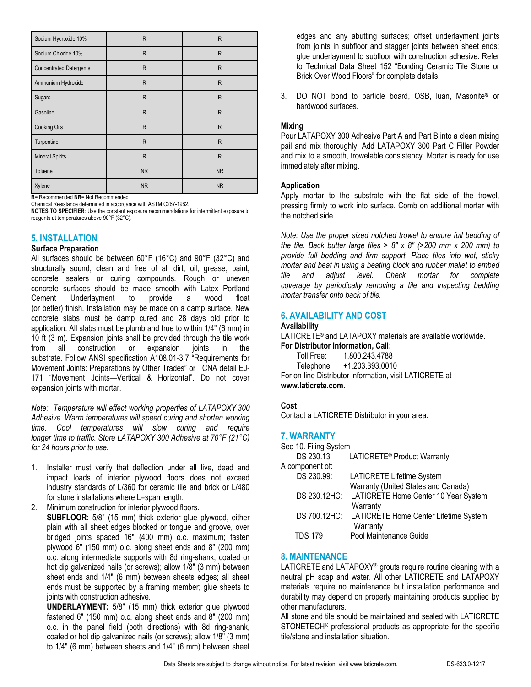| Sodium Hydroxide 10%           | R            | $\mathsf{R}$ |
|--------------------------------|--------------|--------------|
| Sodium Chloride 10%            | R            | $\mathsf{R}$ |
| <b>Concentrated Detergents</b> | R            | $\mathsf{R}$ |
| Ammonium Hydroxide             | $\mathsf{R}$ | $\mathsf{R}$ |
| Sugars                         | R            | $\mathsf{R}$ |
| Gasoline                       | R            | R            |
| <b>Cooking Oils</b>            | R            | $\mathsf{R}$ |
| Turpentine                     | R            | $\mathsf{R}$ |
| <b>Mineral Spirits</b>         | R            | $\mathsf{R}$ |
| Toluene                        | <b>NR</b>    | <b>NR</b>    |
| Xylene                         | <b>NR</b>    | <b>NR</b>    |

**R**= Recommended **NR**= Not Recommended Chemical Resistance determined in accordance with ASTM C267-1982.

**NOTES TO SPECIFIER**: Use the constant exposure recommendations for intermittent exposure to reagents at temperatures above 90°F (32°C).

# **5. INSTALLATION**

#### **Surface Preparation**

All surfaces should be between 60°F (16°C) and 90°F (32°C) and structurally sound, clean and free of all dirt, oil, grease, paint, concrete sealers or curing compounds. Rough or uneven concrete surfaces should be made smooth with Latex Portland<br>Cement Underlayment to provide a wood float Cement Underlayment to provide a wood float (or better) finish. Installation may be made on a damp surface. New concrete slabs must be damp cured and 28 days old prior to application. All slabs must be plumb and true to within 1/4" (6 mm) in 10 ft (3 m). Expansion joints shall be provided through the tile work from all construction or expansion joints in the substrate. Follow ANSI specification A108.01-3.7 "Requirements for Movement Joints: Preparations by Other Trades" or TCNA detail EJ-171 "Movement Joints—Vertical & Horizontal". Do not cover expansion joints with mortar.

*Note: Temperature will effect working properties of LATAPOXY 300 Adhesive. Warm temperatures will speed curing and shorten working time. Cool temperatures will slow curing and require longer time to traffic. Store LATAPOXY 300 Adhesive at 70°F (21°C) for 24 hours prior to use.*

- 1. Installer must verify that deflection under all live, dead and impact loads of interior plywood floors does not exceed industry standards of L/360 for ceramic tile and brick or L/480 for stone installations where L=span length.
- 2. Minimum construction for interior plywood floors. **SUBFLOOR:** 5/8" (15 mm) thick exterior glue plywood, either plain with all sheet edges blocked or tongue and groove, over bridged joints spaced 16" (400 mm) o.c. maximum; fasten plywood 6" (150 mm) o.c. along sheet ends and 8" (200 mm) o.c. along intermediate supports with 8d ring-shank, coated or hot dip galvanized nails (or screws); allow 1/8" (3 mm) between sheet ends and 1/4" (6 mm) between sheets edges; all sheet ends must be supported by a framing member; glue sheets to joints with construction adhesive.

**UNDERLAYMENT:** 5/8" (15 mm) thick exterior glue plywood fastened 6" (150 mm) o.c. along sheet ends and 8" (200 mm) o.c. in the panel field (both directions) with 8d ring-shank, coated or hot dip galvanized nails (or screws); allow 1/8" (3 mm) to 1/4" (6 mm) between sheets and 1/4" (6 mm) between sheet edges and any abutting surfaces; offset underlayment joints from joints in subfloor and stagger joints between sheet ends; glue underlayment to subfloor with construction adhesive. Refer to Technical Data Sheet 152 "Bonding Ceramic Tile Stone or Brick Over Wood Floors" for complete details.

3. DO NOT bond to particle board, OSB, luan, Masonite® or hardwood surfaces.

#### **Mixing**

Pour LATAPOXY 300 Adhesive Part A and Part B into a clean mixing pail and mix thoroughly. Add LATAPOXY 300 Part C Filler Powder and mix to a smooth, trowelable consistency. Mortar is ready for use immediately after mixing.

#### **Application**

Apply mortar to the substrate with the flat side of the trowel, pressing firmly to work into surface. Comb on additional mortar with the notched side.

*Note: Use the proper sized notched trowel to ensure full bedding of the tile. Back butter large tiles > 8" x 8" (>200 mm x 200 mm) to provide full bedding and firm support. Place tiles into wet, sticky mortar and beat in using a beating block and rubber mallet to embed tile and adjust level. Check mortar for complete coverage by periodically removing a tile and inspecting bedding mortar transfer onto back of tile.*

# **6. AVAILABILITY AND COST**

#### **Availability**

LATICRETE® and LATAPOXY materials are available worldwide. **For Distributor Information, Call:**

Toll Free: 1.800.243.4788 Telephone: +1.203.393.0010 For on-line Distributor information, visit LATICRETE at **www.laticrete.com.**

# **Cost**

Contact a LATICRETE Distributor in your area.

# **7. WARRANTY**

| See 10. Filing System |                                         |  |
|-----------------------|-----------------------------------------|--|
| DS 230.13:            | LATICRETE <sup>®</sup> Product Warranty |  |
| A component of:       |                                         |  |
| DS 230.99:            | LATICRETE Lifetime System               |  |
|                       | Warranty (United States and Canada)     |  |
| DS 230.12HC:          | LATICRETE Home Center 10 Year System    |  |
|                       | Warranty                                |  |
| DS 700.12HC:          | LATICRETE Home Center Lifetime System   |  |
|                       | Warranty                                |  |
| TDS 179               | Pool Maintenance Guide                  |  |

# **8. MAINTENANCE**

LATICRETE and LATAPOXY<sup>®</sup> grouts require routine cleaning with a neutral pH soap and water. All other LATICRETE and LATAPOXY materials require no maintenance but installation performance and durability may depend on properly maintaining products supplied by other manufacturers.

All stone and tile should be maintained and sealed with LATICRETE STONETECH® professional products as appropriate for the specific tile/stone and installation situation.